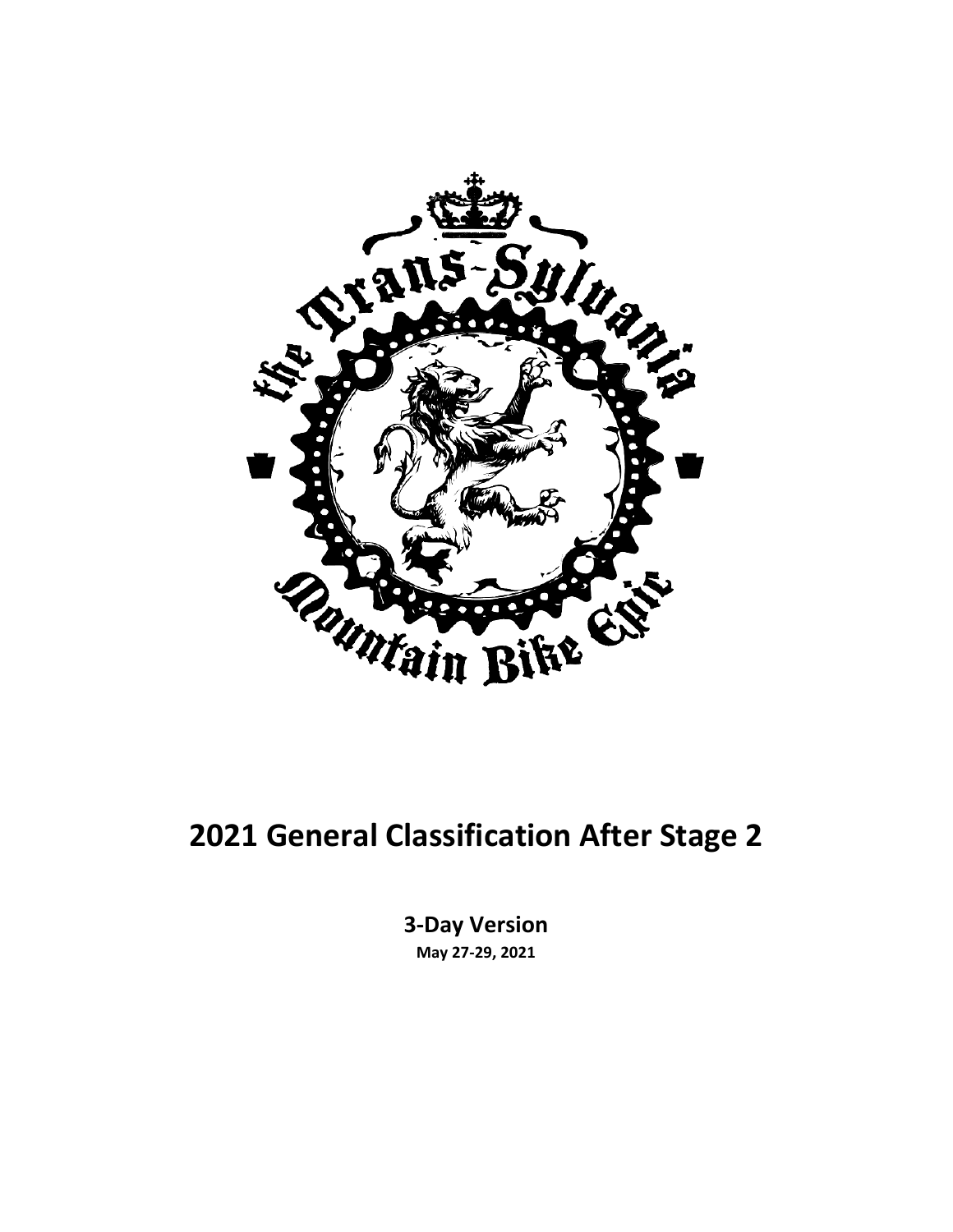

#### **2021 General Classification After Stage 2**

**3-Day Version May 27-29, 2021**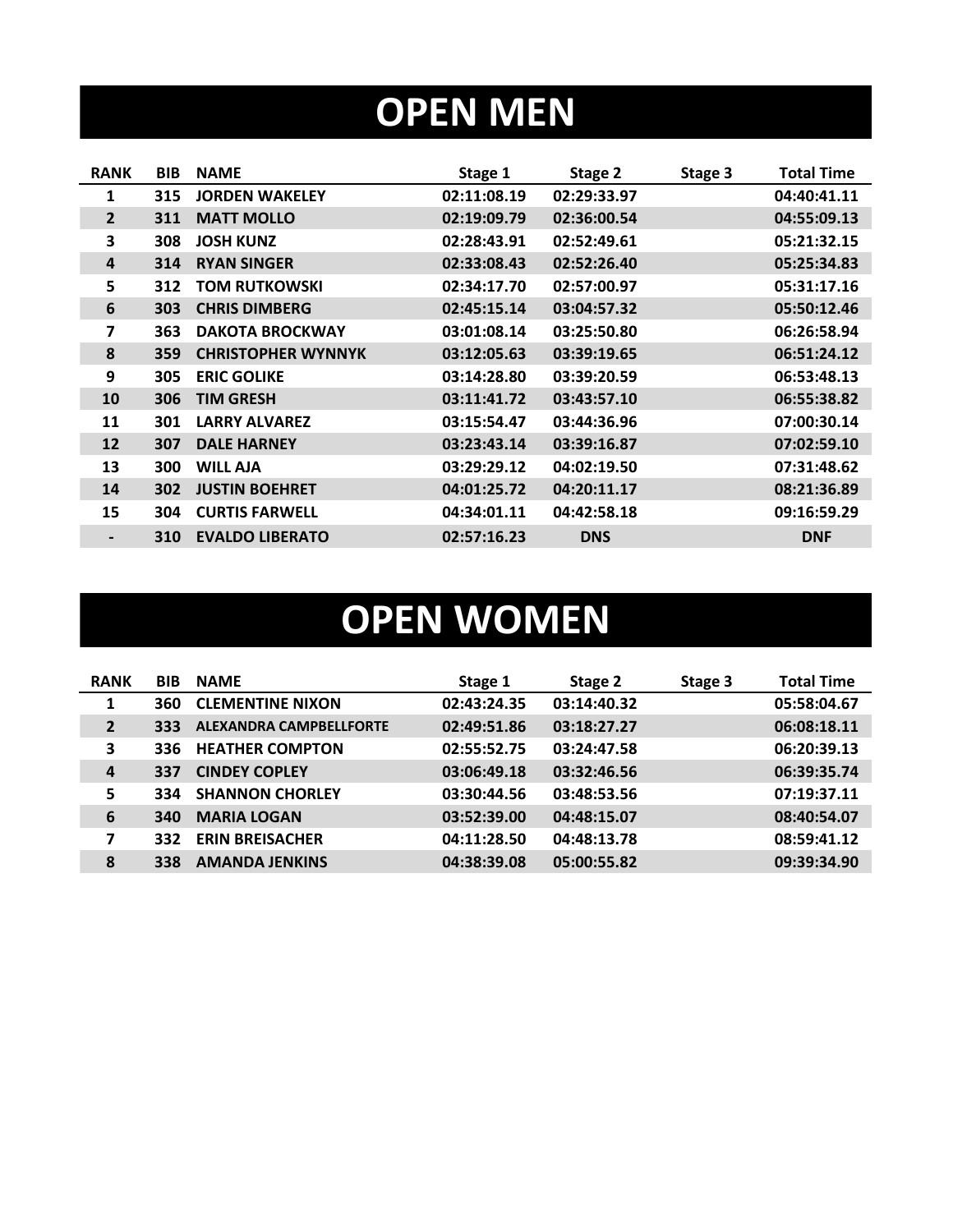# **OPEN MEN**

| <b>RANK</b>              | <b>BIB</b> | <b>NAME</b>               | Stage 1     | Stage 2     | Stage 3 | <b>Total Time</b> |
|--------------------------|------------|---------------------------|-------------|-------------|---------|-------------------|
| 1                        | 315        | <b>JORDEN WAKELEY</b>     | 02:11:08.19 | 02:29:33.97 |         | 04:40:41.11       |
| $\overline{2}$           | 311        | <b>MATT MOLLO</b>         | 02:19:09.79 | 02:36:00.54 |         | 04:55:09.13       |
| 3                        | 308        | <b>JOSH KUNZ</b>          | 02:28:43.91 | 02:52:49.61 |         | 05:21:32.15       |
| $\overline{a}$           | 314        | <b>RYAN SINGER</b>        | 02:33:08.43 | 02:52:26.40 |         | 05:25:34.83       |
| 5                        | 312        | <b>TOM RUTKOWSKI</b>      | 02:34:17.70 | 02:57:00.97 |         | 05:31:17.16       |
| 6                        | 303        | <b>CHRIS DIMBERG</b>      | 02:45:15.14 | 03:04:57.32 |         | 05:50:12.46       |
| 7                        | 363        | <b>DAKOTA BROCKWAY</b>    | 03:01:08.14 | 03:25:50.80 |         | 06:26:58.94       |
| 8                        | 359        | <b>CHRISTOPHER WYNNYK</b> | 03:12:05.63 | 03:39:19.65 |         | 06:51:24.12       |
| 9                        | 305        | <b>ERIC GOLIKE</b>        | 03:14:28.80 | 03:39:20.59 |         | 06:53:48.13       |
| 10                       | 306        | <b>TIM GRESH</b>          | 03:11:41.72 | 03:43:57.10 |         | 06:55:38.82       |
| 11                       | 301        | <b>LARRY ALVAREZ</b>      | 03:15:54.47 | 03:44:36.96 |         | 07:00:30.14       |
| 12                       | 307        | <b>DALE HARNEY</b>        | 03:23:43.14 | 03:39:16.87 |         | 07:02:59.10       |
| 13                       | 300        | <b>WILL AJA</b>           | 03:29:29.12 | 04:02:19.50 |         | 07:31:48.62       |
| 14                       | 302        | <b>JUSTIN BOEHRET</b>     | 04:01:25.72 | 04:20:11.17 |         | 08:21:36.89       |
| 15                       | 304        | <b>CURTIS FARWELL</b>     | 04:34:01.11 | 04:42:58.18 |         | 09:16:59.29       |
| $\overline{\phantom{a}}$ | 310        | <b>EVALDO LIBERATO</b>    | 02:57:16.23 | <b>DNS</b>  |         | <b>DNF</b>        |
|                          |            |                           |             |             |         |                   |

# **OPEN WOMEN**

| <b>RANK</b>    | <b>BIB</b> | <b>NAME</b>                    | Stage 1     | Stage 2     | Stage 3 | <b>Total Time</b> |
|----------------|------------|--------------------------------|-------------|-------------|---------|-------------------|
| 1              | 360        | <b>CLEMENTINE NIXON</b>        | 02:43:24.35 | 03:14:40.32 |         | 05:58:04.67       |
| $\overline{2}$ | 333        | <b>ALEXANDRA CAMPBELLFORTE</b> | 02:49:51.86 | 03:18:27.27 |         | 06:08:18.11       |
| 3              | 336.       | <b>HEATHER COMPTON</b>         | 02:55:52.75 | 03:24:47.58 |         | 06:20:39.13       |
| 4              | 337        | <b>CINDEY COPLEY</b>           | 03:06:49.18 | 03:32:46.56 |         | 06:39:35.74       |
| 5              | 334        | <b>SHANNON CHORLEY</b>         | 03:30:44.56 | 03:48:53.56 |         | 07:19:37.11       |
| 6              | 340        | <b>MARIA LOGAN</b>             | 03:52:39.00 | 04:48:15.07 |         | 08:40:54.07       |
| 7              | 332        | <b>ERIN BREISACHER</b>         | 04:11:28.50 | 04:48:13.78 |         | 08:59:41.12       |
| 8              | 338        | <b>AMANDA JENKINS</b>          | 04:38:39.08 | 05:00:55.82 |         | 09:39:34.90       |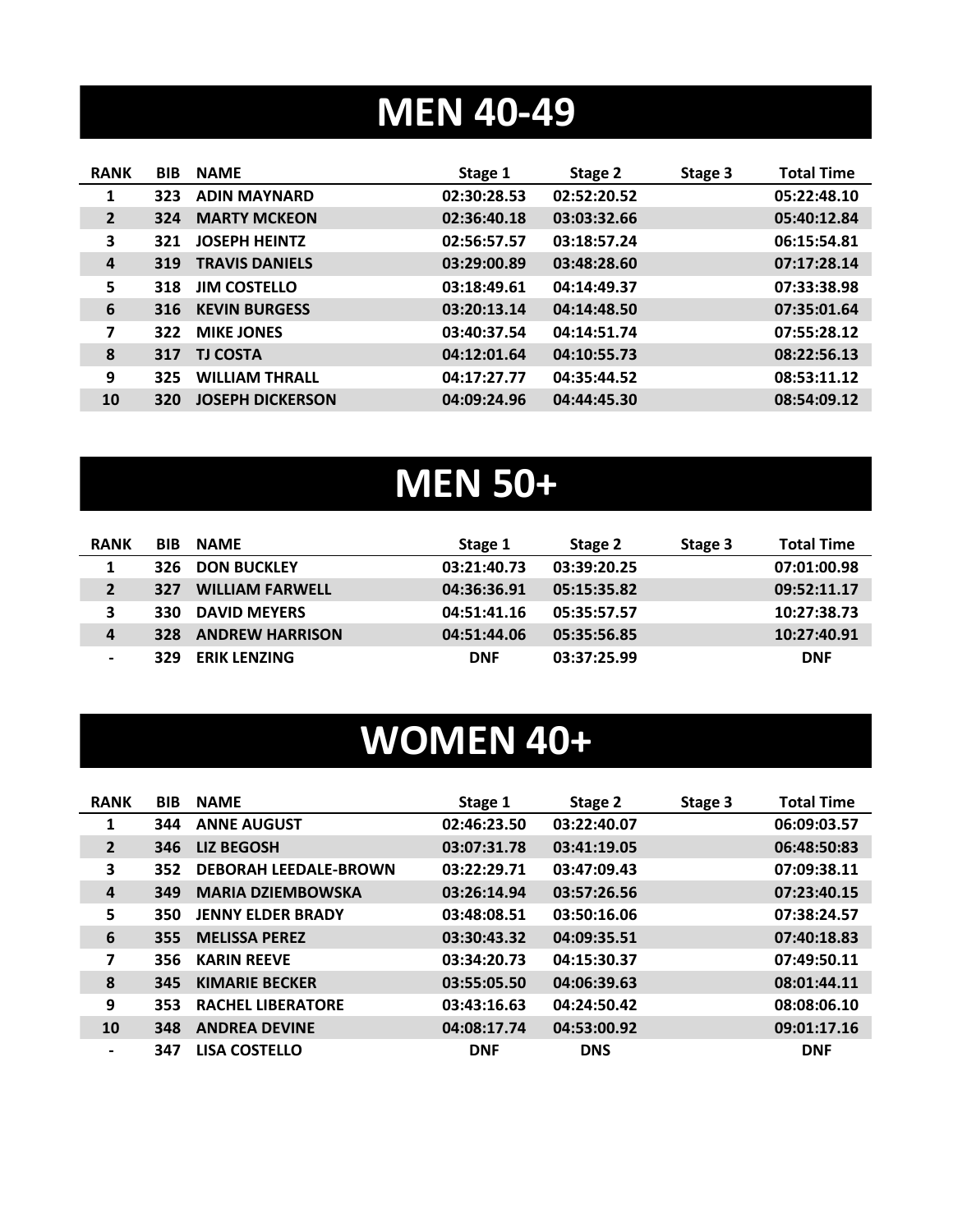### **MEN 40-49**

| <b>RANK</b>    | <b>BIB</b> | <b>NAME</b>             | Stage 1     | Stage 2     | Stage 3 | <b>Total Time</b> |
|----------------|------------|-------------------------|-------------|-------------|---------|-------------------|
| 1              | 323        | <b>ADIN MAYNARD</b>     | 02:30:28.53 | 02:52:20.52 |         | 05:22:48.10       |
| $\overline{2}$ | 324        | <b>MARTY MCKEON</b>     | 02:36:40.18 | 03:03:32.66 |         | 05:40:12.84       |
| 3              | 321        | <b>JOSEPH HEINTZ</b>    | 02:56:57.57 | 03:18:57.24 |         | 06:15:54.81       |
| $\overline{a}$ | 319        | <b>TRAVIS DANIELS</b>   | 03:29:00.89 | 03:48:28.60 |         | 07:17:28.14       |
| 5              | 318        | <b>JIM COSTELLO</b>     | 03:18:49.61 | 04:14:49.37 |         | 07:33:38.98       |
| 6              | 316        | <b>KEVIN BURGESS</b>    | 03:20:13.14 | 04:14:48.50 |         | 07:35:01.64       |
| 7              | 322        | <b>MIKE JONES</b>       | 03:40:37.54 | 04:14:51.74 |         | 07:55:28.12       |
| 8              | 317        | <b>TJ COSTA</b>         | 04:12:01.64 | 04:10:55.73 |         | 08:22:56.13       |
| 9              | 325        | <b>WILLIAM THRALL</b>   | 04:17:27.77 | 04:35:44.52 |         | 08:53:11.12       |
| 10             | 320        | <b>JOSEPH DICKERSON</b> | 04:09:24.96 | 04:44:45.30 |         | 08:54:09.12       |

# **MEN 50+**

| <b>RANK</b>    | <b>BIB</b> | <b>NAME</b>            | Stage 1     | Stage 2     | Stage 3 | <b>Total Time</b> |
|----------------|------------|------------------------|-------------|-------------|---------|-------------------|
| 1              | 326        | <b>DON BUCKLEY</b>     | 03:21:40.73 | 03:39:20.25 |         | 07:01:00.98       |
| $\overline{2}$ | 327        | <b>WILLIAM FARWELL</b> | 04:36:36.91 | 05:15:35.82 |         | 09:52:11.17       |
| 3              | 330        | <b>DAVID MEYERS</b>    | 04:51:41.16 | 05:35:57.57 |         | 10:27:38.73       |
| $\overline{a}$ | 328        | <b>ANDREW HARRISON</b> | 04:51:44.06 | 05:35:56.85 |         | 10:27:40.91       |
|                | 329        | <b>ERIK LENZING</b>    | <b>DNF</b>  | 03:37:25.99 |         | <b>DNF</b>        |

### **WOMEN 40+**

| <b>RANK</b>    | <b>BIB</b> | <b>NAME</b>                  | Stage 1     | Stage 2     | Stage 3 | <b>Total Time</b> |
|----------------|------------|------------------------------|-------------|-------------|---------|-------------------|
| 1              | 344        | <b>ANNE AUGUST</b>           | 02:46:23.50 | 03:22:40.07 |         | 06:09:03.57       |
| $\overline{2}$ | 346        | <b>LIZ BEGOSH</b>            | 03:07:31.78 | 03:41:19.05 |         | 06:48:50:83       |
| 3              | 352        | <b>DEBORAH LEEDALE-BROWN</b> | 03:22:29.71 | 03:47:09.43 |         | 07:09:38.11       |
| 4              | 349        | <b>MARIA DZIEMBOWSKA</b>     | 03:26:14.94 | 03:57:26.56 |         | 07:23:40.15       |
| 5              | 350        | <b>JENNY ELDER BRADY</b>     | 03:48:08.51 | 03:50:16.06 |         | 07:38:24.57       |
| 6              | 355        | <b>MELISSA PEREZ</b>         | 03:30:43.32 | 04:09:35.51 |         | 07:40:18.83       |
| 7              | 356        | <b>KARIN REEVE</b>           | 03:34:20.73 | 04:15:30.37 |         | 07:49:50.11       |
| 8              | 345        | <b>KIMARIE BECKER</b>        | 03:55:05.50 | 04:06:39.63 |         | 08:01:44.11       |
| 9              | 353        | <b>RACHEL LIBERATORE</b>     | 03:43:16.63 | 04:24:50.42 |         | 08:08:06.10       |
| 10             | 348        | <b>ANDREA DEVINE</b>         | 04:08:17.74 | 04:53:00.92 |         | 09:01:17.16       |
| $\blacksquare$ | 347        | <b>LISA COSTELLO</b>         | <b>DNF</b>  | <b>DNS</b>  |         | <b>DNF</b>        |